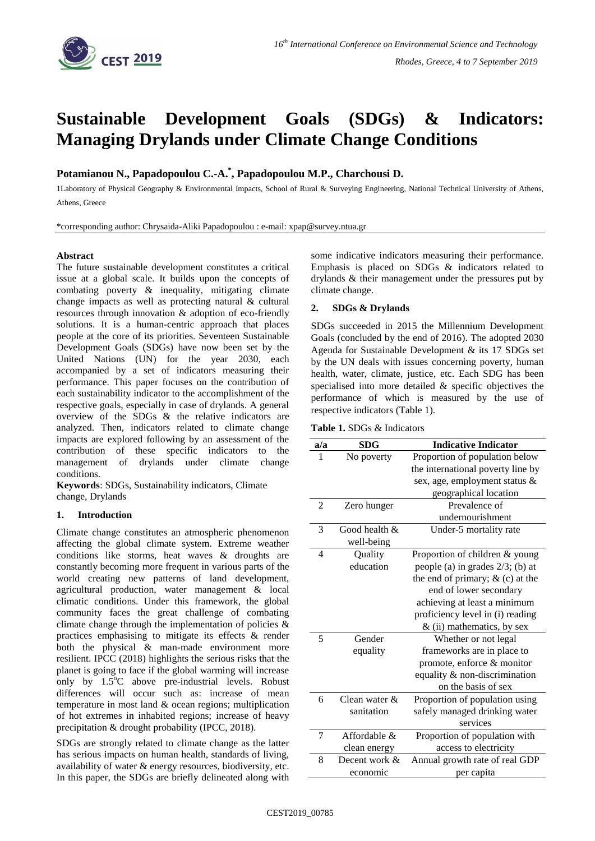

# **Sustainable Development Goals (SDGs) & Indicators: Managing Drylands under Climate Change Conditions**

**Potamianou N., Papadopoulou C.-A.\* , Papadopoulou M.P., Charchousi D.**

1Laboratory of Physical Geography & Environmental Impacts, School of Rural & Surveying Engineering, National Technical University of Athens, Athens, Greece

\*corresponding author: Chrysaida-Aliki Papadopoulou : e-mail: xpap@survey.ntua.gr

## **Abstract**

The future sustainable development constitutes a critical issue at a global scale. It builds upon the concepts of combating poverty & inequality, mitigating climate change impacts as well as protecting natural & cultural resources through innovation & adoption of eco-friendly solutions. It is a human-centric approach that places people at the core of its priorities. Seventeen Sustainable Development Goals (SDGs) have now been set by the United Nations (UN) for the year 2030, each accompanied by a set of indicators measuring their performance. This paper focuses on the contribution of each sustainability indicator to the accomplishment of the respective goals, especially in case of drylands. A general overview of the SDGs & the relative indicators are analyzed. Then, indicators related to climate change impacts are explored following by an assessment of the contribution of these specific indicators to the management of drylands under climate change conditions.

**Keywords**: SDGs, Sustainability indicators, Climate change, Drylands

### **1. Introduction**

Climate change constitutes an atmospheric phenomenon affecting the global climate system. Extreme weather conditions like storms, heat waves & droughts are constantly becoming more frequent in various parts of the world creating new patterns of land development, agricultural production, water management & local climatic conditions. Under this framework, the global community faces the great challenge of combating climate change through the implementation of policies  $\&$ practices emphasising to mitigate its effects & render both the physical & man-made environment more resilient. IPCC (2018) highlights the serious risks that the planet is going to face if the global warming will increase only by  $1.5^{\circ}$ C above pre-industrial levels. Robust differences will occur such as: increase of mean temperature in most land & ocean regions; multiplication of hot extremes in inhabited regions; increase of heavy precipitation & drought probability (IPCC, 2018).

SDGs are strongly related to climate change as the latter has serious impacts on human health, standards of living, availability of water & energy resources, biodiversity, etc. In this paper, the SDGs are briefly delineated along with

some indicative indicators measuring their performance. Emphasis is placed on SDGs & indicators related to drylands & their management under the pressures put by climate change.

# **2. SDGs & Drylands**

SDGs succeeded in 2015 the Millennium Development Goals (concluded by the end of 2016). The adopted 2030 Agenda for Sustainable Development & its 17 SDGs set by the UN deals with issues concerning poverty, human health, water, climate, justice, etc. Each SDG has been specialised into more detailed & specific objectives the performance of which is measured by the use of respective indicators (Table 1).

| <b>Table 1.</b> SDGs & Indicators |
|-----------------------------------|
|-----------------------------------|

| a/a            | <b>SDG</b>       | <b>Indicative Indicator</b>         |
|----------------|------------------|-------------------------------------|
| 1              | No poverty       | Proportion of population below      |
|                |                  | the international poverty line by   |
|                |                  | sex, age, employment status &       |
|                |                  | geographical location               |
| $\overline{2}$ | Zero hunger      | Prevalence of                       |
|                |                  | undernourishment                    |
| 3              | Good health $\&$ | Under-5 mortality rate              |
|                | well-being       |                                     |
| $\overline{4}$ | Quality          | Proportion of children & young      |
|                | education        | people (a) in grades $2/3$ ; (b) at |
|                |                  | the end of primary; $&$ (c) at the  |
|                |                  | end of lower secondary              |
|                |                  | achieving at least a minimum        |
|                |                  | proficiency level in (i) reading    |
|                |                  | $&$ (ii) mathematics, by sex        |
| 5              | Gender           | Whether or not legal                |
|                | equality         | frameworks are in place to          |
|                |                  | promote, enforce & monitor          |
|                |                  | equality & non-discrimination       |
|                |                  | on the basis of sex                 |
| 6              | Clean water $\&$ | Proportion of population using      |
|                | sanitation       | safely managed drinking water       |
|                |                  | services                            |
| 7              | Affordable &     | Proportion of population with       |
|                | clean energy     | access to electricity               |
| 8              | Decent work &    | Annual growth rate of real GDP      |
|                | economic         | per capita                          |